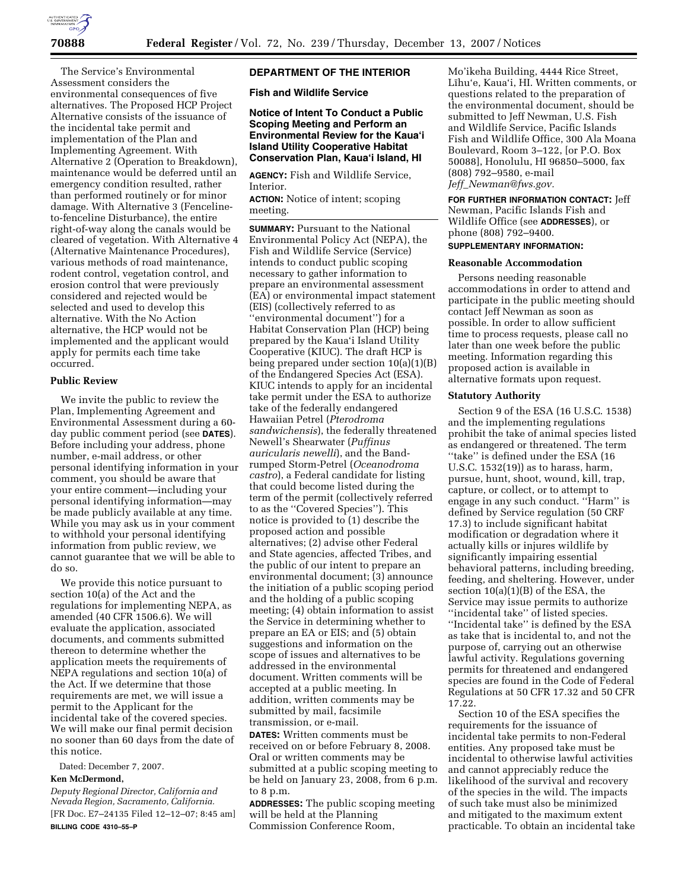

The Service's Environmental Assessment considers the environmental consequences of five alternatives. The Proposed HCP Project Alternative consists of the issuance of the incidental take permit and implementation of the Plan and Implementing Agreement. With Alternative 2 (Operation to Breakdown), maintenance would be deferred until an emergency condition resulted, rather than performed routinely or for minor damage. With Alternative 3 (Fencelineto-fenceline Disturbance), the entire right-of-way along the canals would be cleared of vegetation. With Alternative 4 (Alternative Maintenance Procedures), various methods of road maintenance, rodent control, vegetation control, and erosion control that were previously considered and rejected would be selected and used to develop this alternative. With the No Action alternative, the HCP would not be implemented and the applicant would apply for permits each time take occurred.

# **Public Review**

We invite the public to review the Plan, Implementing Agreement and Environmental Assessment during a 60 day public comment period (see **DATES**). Before including your address, phone number, e-mail address, or other personal identifying information in your comment, you should be aware that your entire comment—including your personal identifying information—may be made publicly available at any time. While you may ask us in your comment to withhold your personal identifying information from public review, we cannot guarantee that we will be able to do so.

We provide this notice pursuant to section 10(a) of the Act and the regulations for implementing NEPA, as amended (40 CFR 1506.6). We will evaluate the application, associated documents, and comments submitted thereon to determine whether the application meets the requirements of NEPA regulations and section 10(a) of the Act. If we determine that those requirements are met, we will issue a permit to the Applicant for the incidental take of the covered species. We will make our final permit decision no sooner than 60 days from the date of this notice.

Dated: December 7, 2007.

## **Ken McDermond,**

*Deputy Regional Director, California and Nevada Region, Sacramento, California.*  [FR Doc. E7–24135 Filed 12–12–07; 8:45 am] **BILLING CODE 4310–55–P** 

# **DEPARTMENT OF THE INTERIOR**

**Fish and Wildlife Service** 

# **Notice of Intent To Conduct a Public Scoping Meeting and Perform an Environmental Review for the Kaua'i Island Utility Cooperative Habitat Conservation Plan, Kaua'i Island, HI**

**AGENCY:** Fish and Wildlife Service, Interior.

**ACTION:** Notice of intent; scoping meeting.

**SUMMARY: Pursuant to the National** Environmental Policy Act (NEPA), the Fish and Wildlife Service (Service) intends to conduct public scoping necessary to gather information to prepare an environmental assessment (EA) or environmental impact statement (EIS) (collectively referred to as ''environmental document'') for a Habitat Conservation Plan (HCP) being prepared by the Kaua'i Island Utility Cooperative (KIUC). The draft HCP is being prepared under section 10(a)(1)(B) of the Endangered Species Act (ESA). KIUC intends to apply for an incidental take permit under the ESA to authorize take of the federally endangered Hawaiian Petrel (*Pterodroma sandwichensis*), the federally threatened Newell's Shearwater (*Puffinus auricularis newelli*), and the Bandrumped Storm-Petrel (*Oceanodroma castro*), a Federal candidate for listing that could become listed during the term of the permit (collectively referred to as the ''Covered Species''). This notice is provided to (1) describe the proposed action and possible alternatives; (2) advise other Federal and State agencies, affected Tribes, and the public of our intent to prepare an environmental document; (3) announce the initiation of a public scoping period and the holding of a public scoping meeting; (4) obtain information to assist the Service in determining whether to prepare an EA or EIS; and (5) obtain suggestions and information on the scope of issues and alternatives to be addressed in the environmental document. Written comments will be accepted at a public meeting. In addition, written comments may be submitted by mail, facsimile transmission, or e-mail.

**DATES:** Written comments must be received on or before February 8, 2008. Oral or written comments may be submitted at a public scoping meeting to be held on January 23, 2008, from 6 p.m. to 8 p.m.

**ADDRESSES:** The public scoping meeting will be held at the Planning Commission Conference Room,

Mo'ikeha Building, 4444 Rice Street, Līhu'e, Kaua'i, HI. Written comments, or questions related to the preparation of the environmental document, should be submitted to Jeff Newman, U.S. Fish and Wildlife Service, Pacific Islands Fish and Wildlife Office, 300 Ala Moana Boulevard, Room 3–122, [or P.O. Box 50088], Honolulu, HI 96850–5000, fax (808) 792–9580, e-mail *Jeff*\_*Newman@fws.gov.* 

**FOR FURTHER INFORMATION CONTACT:** Jeff Newman, Pacific Islands Fish and Wildlife Office (see **ADDRESSES**), or phone (808) 792–9400. **SUPPLEMENTARY INFORMATION:** 

#### **Reasonable Accommodation**

Persons needing reasonable accommodations in order to attend and participate in the public meeting should contact Jeff Newman as soon as possible. In order to allow sufficient time to process requests, please call no later than one week before the public meeting. Information regarding this proposed action is available in alternative formats upon request.

#### **Statutory Authority**

Section 9 of the ESA (16 U.S.C. 1538) and the implementing regulations prohibit the take of animal species listed as endangered or threatened. The term "take" is defined under the ESA (16 U.S.C. 1532(19)) as to harass, harm, pursue, hunt, shoot, wound, kill, trap, capture, or collect, or to attempt to engage in any such conduct. ''Harm'' is defined by Service regulation (50 CRF 17.3) to include significant habitat modification or degradation where it actually kills or injures wildlife by significantly impairing essential behavioral patterns, including breeding, feeding, and sheltering. However, under section 10(a)(1)(B) of the ESA, the Service may issue permits to authorize ''incidental take'' of listed species. ''Incidental take'' is defined by the ESA as take that is incidental to, and not the purpose of, carrying out an otherwise lawful activity. Regulations governing permits for threatened and endangered species are found in the Code of Federal Regulations at 50 CFR 17.32 and 50 CFR 17.22.

Section 10 of the ESA specifies the requirements for the issuance of incidental take permits to non-Federal entities. Any proposed take must be incidental to otherwise lawful activities and cannot appreciably reduce the likelihood of the survival and recovery of the species in the wild. The impacts of such take must also be minimized and mitigated to the maximum extent practicable. To obtain an incidental take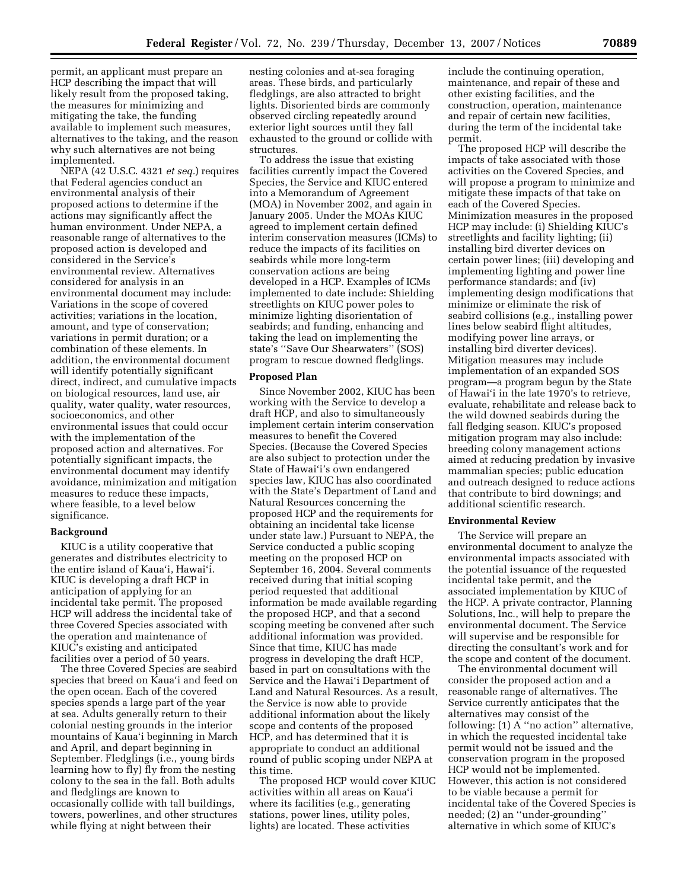permit, an applicant must prepare an HCP describing the impact that will likely result from the proposed taking, the measures for minimizing and mitigating the take, the funding available to implement such measures, alternatives to the taking, and the reason why such alternatives are not being implemented.

NEPA (42 U.S.C. 4321 *et seq.*) requires that Federal agencies conduct an environmental analysis of their proposed actions to determine if the actions may significantly affect the human environment. Under NEPA, a reasonable range of alternatives to the proposed action is developed and considered in the Service's environmental review. Alternatives considered for analysis in an environmental document may include: Variations in the scope of covered activities; variations in the location, amount, and type of conservation; variations in permit duration; or a combination of these elements. In addition, the environmental document will identify potentially significant direct, indirect, and cumulative impacts on biological resources, land use, air quality, water quality, water resources, socioeconomics, and other environmental issues that could occur with the implementation of the proposed action and alternatives. For potentially significant impacts, the environmental document may identify avoidance, minimization and mitigation measures to reduce these impacts, where feasible, to a level below significance.

#### **Background**

KIUC is a utility cooperative that generates and distributes electricity to the entire island of Kaua'i, Hawai'i. KIUC is developing a draft HCP in anticipation of applying for an incidental take permit. The proposed HCP will address the incidental take of three Covered Species associated with the operation and maintenance of KIUC's existing and anticipated facilities over a period of 50 years.

The three Covered Species are seabird species that breed on Kaua'i and feed on the open ocean. Each of the covered species spends a large part of the year at sea. Adults generally return to their colonial nesting grounds in the interior mountains of Kaua'i beginning in March and April, and depart beginning in September. Fledglings (i.e., young birds learning how to fly) fly from the nesting colony to the sea in the fall. Both adults and fledglings are known to occasionally collide with tall buildings, towers, powerlines, and other structures while flying at night between their

nesting colonies and at-sea foraging areas. These birds, and particularly fledglings, are also attracted to bright lights. Disoriented birds are commonly observed circling repeatedly around exterior light sources until they fall exhausted to the ground or collide with structures.

To address the issue that existing facilities currently impact the Covered Species, the Service and KIUC entered into a Memorandum of Agreement (MOA) in November 2002, and again in January 2005. Under the MOAs KIUC agreed to implement certain defined interim conservation measures (ICMs) to reduce the impacts of its facilities on seabirds while more long-term conservation actions are being developed in a HCP. Examples of ICMs implemented to date include: Shielding streetlights on KIUC power poles to minimize lighting disorientation of seabirds; and funding, enhancing and taking the lead on implementing the state's ''Save Our Shearwaters'' (SOS) program to rescue downed fledglings.

#### **Proposed Plan**

Since November 2002, KIUC has been working with the Service to develop a draft HCP, and also to simultaneously implement certain interim conservation measures to benefit the Covered Species. (Because the Covered Species are also subject to protection under the State of Hawai'i's own endangered species law, KIUC has also coordinated with the State's Department of Land and Natural Resources concerning the proposed HCP and the requirements for obtaining an incidental take license under state law.) Pursuant to NEPA, the Service conducted a public scoping meeting on the proposed HCP on September 16, 2004. Several comments received during that initial scoping period requested that additional information be made available regarding the proposed HCP, and that a second scoping meeting be convened after such additional information was provided. Since that time, KIUC has made progress in developing the draft HCP, based in part on consultations with the Service and the Hawai'i Department of Land and Natural Resources. As a result, the Service is now able to provide additional information about the likely scope and contents of the proposed HCP, and has determined that it is appropriate to conduct an additional round of public scoping under NEPA at this time.

The proposed HCP would cover KIUC activities within all areas on Kaua'i where its facilities (e.g., generating stations, power lines, utility poles, lights) are located. These activities

include the continuing operation, maintenance, and repair of these and other existing facilities, and the construction, operation, maintenance and repair of certain new facilities, during the term of the incidental take permit.

The proposed HCP will describe the impacts of take associated with those activities on the Covered Species, and will propose a program to minimize and mitigate these impacts of that take on each of the Covered Species. Minimization measures in the proposed HCP may include: (i) Shielding KIUC's streetlights and facility lighting; (ii) installing bird diverter devices on certain power lines; (iii) developing and implementing lighting and power line performance standards; and (iv) implementing design modifications that minimize or eliminate the risk of seabird collisions (e.g., installing power lines below seabird flight altitudes, modifying power line arrays, or installing bird diverter devices). Mitigation measures may include implementation of an expanded SOS program—a program begun by the State of Hawai'i in the late 1970's to retrieve, evaluate, rehabilitate and release back to the wild downed seabirds during the fall fledging season. KIUC's proposed mitigation program may also include: breeding colony management actions aimed at reducing predation by invasive mammalian species; public education and outreach designed to reduce actions that contribute to bird downings; and additional scientific research.

#### **Environmental Review**

The Service will prepare an environmental document to analyze the environmental impacts associated with the potential issuance of the requested incidental take permit, and the associated implementation by KIUC of the HCP. A private contractor, Planning Solutions, Inc., will help to prepare the environmental document. The Service will supervise and be responsible for directing the consultant's work and for the scope and content of the document.

The environmental document will consider the proposed action and a reasonable range of alternatives. The Service currently anticipates that the alternatives may consist of the following: (1) A ''no action'' alternative, in which the requested incidental take permit would not be issued and the conservation program in the proposed HCP would not be implemented. However, this action is not considered to be viable because a permit for incidental take of the Covered Species is needed; (2) an ''under-grounding'' alternative in which some of KIUC's